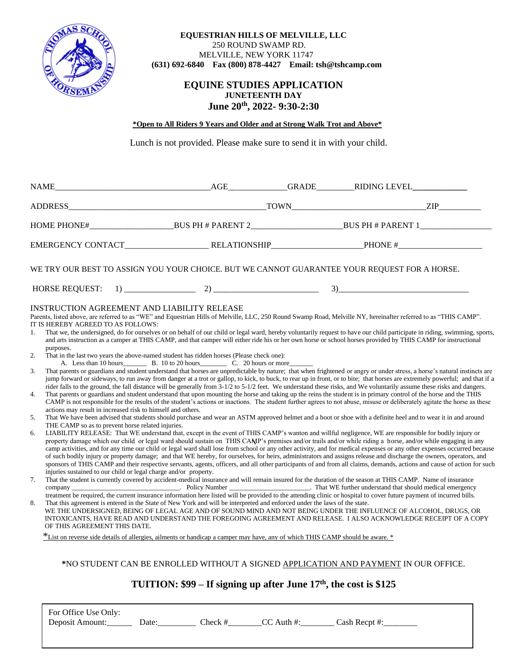

## **EQUESTRIAN HILLS OF MELVILLE, LLC** 250 ROUND SWAMP RD. MELVILLE, NEW YORK 11747  **(631) 692-6840 Fax (800) 878-4427 Email: tsh@tshcamp.com**

# **EQUINE STUDIES APPLICATION JUNETEENTH DAY June 20th, 2022- 9:30-2:30**

## **\*Open to All Riders 9 Years and Older and at Strong Walk Trot and Above\***

Lunch is not provided. Please make sure to send it in with your child.

|                                                                                                                                                                                                                                                                                                                                                                                                                                                                                                                                                                                                                                                                                                                                                                                                                                                                                                                                                                                                                                                                                                                                                                                                                                                                                                                                                                                                                                                                                                                                                                                                                                                                                                                                                                                                                                                                                                                                                                                                                                                                                                                                                                                                                                                                                                                                                                                                                                                                                                                                                                                                                                                                                                                                                                                                                                                                                                                                                                                                                                                                                                                                                                                                                                                                                                                                                                                                                                                                                                                                                                                                                                                                                                                                                                                                              |  |  | AGE GRADE RIDING LEVEL |  |
|--------------------------------------------------------------------------------------------------------------------------------------------------------------------------------------------------------------------------------------------------------------------------------------------------------------------------------------------------------------------------------------------------------------------------------------------------------------------------------------------------------------------------------------------------------------------------------------------------------------------------------------------------------------------------------------------------------------------------------------------------------------------------------------------------------------------------------------------------------------------------------------------------------------------------------------------------------------------------------------------------------------------------------------------------------------------------------------------------------------------------------------------------------------------------------------------------------------------------------------------------------------------------------------------------------------------------------------------------------------------------------------------------------------------------------------------------------------------------------------------------------------------------------------------------------------------------------------------------------------------------------------------------------------------------------------------------------------------------------------------------------------------------------------------------------------------------------------------------------------------------------------------------------------------------------------------------------------------------------------------------------------------------------------------------------------------------------------------------------------------------------------------------------------------------------------------------------------------------------------------------------------------------------------------------------------------------------------------------------------------------------------------------------------------------------------------------------------------------------------------------------------------------------------------------------------------------------------------------------------------------------------------------------------------------------------------------------------------------------------------------------------------------------------------------------------------------------------------------------------------------------------------------------------------------------------------------------------------------------------------------------------------------------------------------------------------------------------------------------------------------------------------------------------------------------------------------------------------------------------------------------------------------------------------------------------------------------------------------------------------------------------------------------------------------------------------------------------------------------------------------------------------------------------------------------------------------------------------------------------------------------------------------------------------------------------------------------------------------------------------------------------------------------------------------------------|--|--|------------------------|--|
|                                                                                                                                                                                                                                                                                                                                                                                                                                                                                                                                                                                                                                                                                                                                                                                                                                                                                                                                                                                                                                                                                                                                                                                                                                                                                                                                                                                                                                                                                                                                                                                                                                                                                                                                                                                                                                                                                                                                                                                                                                                                                                                                                                                                                                                                                                                                                                                                                                                                                                                                                                                                                                                                                                                                                                                                                                                                                                                                                                                                                                                                                                                                                                                                                                                                                                                                                                                                                                                                                                                                                                                                                                                                                                                                                                                                              |  |  |                        |  |
| HOME PHONE# BUS PH # PARENT 2 BUS PH # PARENT 1                                                                                                                                                                                                                                                                                                                                                                                                                                                                                                                                                                                                                                                                                                                                                                                                                                                                                                                                                                                                                                                                                                                                                                                                                                                                                                                                                                                                                                                                                                                                                                                                                                                                                                                                                                                                                                                                                                                                                                                                                                                                                                                                                                                                                                                                                                                                                                                                                                                                                                                                                                                                                                                                                                                                                                                                                                                                                                                                                                                                                                                                                                                                                                                                                                                                                                                                                                                                                                                                                                                                                                                                                                                                                                                                                              |  |  |                        |  |
|                                                                                                                                                                                                                                                                                                                                                                                                                                                                                                                                                                                                                                                                                                                                                                                                                                                                                                                                                                                                                                                                                                                                                                                                                                                                                                                                                                                                                                                                                                                                                                                                                                                                                                                                                                                                                                                                                                                                                                                                                                                                                                                                                                                                                                                                                                                                                                                                                                                                                                                                                                                                                                                                                                                                                                                                                                                                                                                                                                                                                                                                                                                                                                                                                                                                                                                                                                                                                                                                                                                                                                                                                                                                                                                                                                                                              |  |  |                        |  |
| WE TRY OUR BEST TO ASSIGN YOU YOUR CHOICE. BUT WE CANNOT GUARANTEE YOUR REQUEST FOR A HORSE.                                                                                                                                                                                                                                                                                                                                                                                                                                                                                                                                                                                                                                                                                                                                                                                                                                                                                                                                                                                                                                                                                                                                                                                                                                                                                                                                                                                                                                                                                                                                                                                                                                                                                                                                                                                                                                                                                                                                                                                                                                                                                                                                                                                                                                                                                                                                                                                                                                                                                                                                                                                                                                                                                                                                                                                                                                                                                                                                                                                                                                                                                                                                                                                                                                                                                                                                                                                                                                                                                                                                                                                                                                                                                                                 |  |  |                        |  |
|                                                                                                                                                                                                                                                                                                                                                                                                                                                                                                                                                                                                                                                                                                                                                                                                                                                                                                                                                                                                                                                                                                                                                                                                                                                                                                                                                                                                                                                                                                                                                                                                                                                                                                                                                                                                                                                                                                                                                                                                                                                                                                                                                                                                                                                                                                                                                                                                                                                                                                                                                                                                                                                                                                                                                                                                                                                                                                                                                                                                                                                                                                                                                                                                                                                                                                                                                                                                                                                                                                                                                                                                                                                                                                                                                                                                              |  |  |                        |  |
| INSTRUCTION AGREEMENT AND LIABILITY RELEASE<br>Parents, listed above, are referred to as "WE" and Equestrian Hills of Melville, LLC, 250 Round Swamp Road, Melville NY, hereinafter referred to as "THIS CAMP".<br>IT IS HEREBY AGREED TO AS FOLLOWS:<br>That we, the undersigned, do for ourselves or on behalf of our child or legal ward, hereby voluntarily request to have our child participate in riding, swimming, sports,<br>1.<br>and arts instruction as a camper at THIS CAMP, and that camper will either ride his or her own horse or school horses provided by THIS CAMP for instructional<br>purposes.<br>2.<br>That in the last two years the above-named student has ridden horses (Please check one):<br>A. Less than 10 hours B. 10 to 20 hours C. 20 hours or more<br>That parents or guardians and student understand that horses are unpredictable by nature; that when frightened or angry or under stress, a horse's natural instincts are<br>3.<br>jump forward or sideways, to run away from danger at a trot or gallop, to kick, to buck, to rear up in front, or to bite; that horses are extremely powerful; and that if a<br>rider falls to the ground, the fall distance will be generally from 3-1/2 to 5-1/2 feet. We understand these risks, and We voluntarily assume these risks and dangers.<br>That parents or guardians and student understand that upon mounting the horse and taking up the reins the student is in primary control of the horse and the THIS<br>4.<br>CAMP is not responsible for the results of the student's actions or inactions. The student further agrees to not abuse, misuse or deliberately agitate the horse as these<br>actions may result in increased risk to himself and others.<br>That We have been advised that students should purchase and wear an ASTM approved helmet and a boot or shoe with a definite heel and to wear it in and around<br>5.<br>THE CAMP so as to prevent horse related injuries.<br>LIABILITY RELEASE: That WE understand that, except in the event of THIS CAMP's wanton and willful negligence, WE are responsible for bodily injury or<br>6.<br>property damage which our child or legal ward should sustain on THIS CAMP's premises and/or trails and/or while riding a horse, and/or while engaging in any<br>camp activities, and for any time our child or legal ward shall lose from school or any other activity, and for medical expenses or any other expenses occurred because<br>of such bodily injury or property damage; and that WE hereby, for ourselves, for heirs, administrators and assigns release and discharge the owners, operators, and<br>sponsors of THIS CAMP and their respective servants, agents, officers, and all other participants of and from all claims, demands, actions and cause of action for such<br>injuries sustained to our child or legal charge and/or property.<br>That the student is currently covered by accident-medical insurance and will remain insured for the duration of the season at THIS CAMP. Name of insurance<br>7.<br>treatment be required, the current insurance information here listed will be provided to the attending clinic or hospital to cover future payment of incurred bills.<br>That this agreement is entered in the State of New York and will be interpreted and enforced under the laws of the state.<br>8.<br>WE THE UNDERSIGNED, BEING OF LEGAL AGE AND OF SOUND MIND AND NOT BEING UNDER THE INFLUENCE OF ALCOHOL, DRUGS, OR<br>INTOXICANTS, HAVE READ AND UNDERSTAND THE FOREGOING AGREEMENT AND RELEASE. I ALSO ACKNOWLEDGE RECEIPT OF A COPY<br>OF THIS AGREEMENT THIS DATE.<br>*List on reverse side details of allergies, ailments or handicap a camper may have, any of which THIS CAMP should be aware. * |  |  |                        |  |

**\***NO STUDENT CAN BE ENROLLED WITHOUT A SIGNED APPLICATION AND PAYMENT IN OUR OFFICE.

# **TUITION: \$99 – If signing up after June 17 th, the cost is \$125**

For Office Use Only: Deposit Amount:\_\_\_\_\_\_\_\_\_\_\_ Date:\_\_\_\_\_\_\_\_\_\_\_\_ Check #\_\_\_\_\_\_\_\_CC Auth #:\_\_\_\_\_\_\_\_\_ Cash Recpt #:\_\_\_\_\_\_\_\_\_\_\_